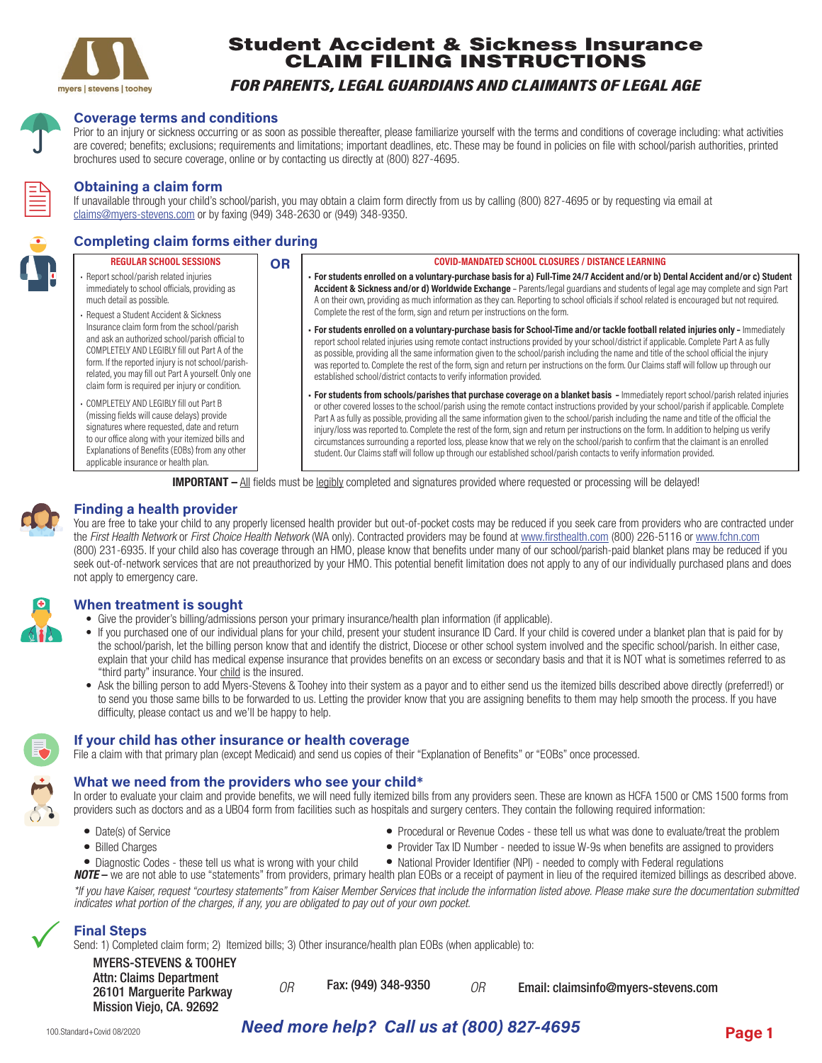

# Student Accident & Sickness Insurance CLAIM FILING INSTRUCTIONS

## *FOR PARENTS, LEGAL GUARDIANS AND CLAIMANTS OF LEGAL AGE*



#### **Coverage terms and conditions**

Prior to an injury or sickness occurring or as soon as possible thereafter, please familiarize yourself with the terms and conditions of coverage including: what activities are covered; benefits; exclusions; requirements and limitations; important deadlines, etc. These may be found in policies on file with school/parish authorities, printed brochures used to secure coverage, online or by contacting us directly at (800) 827-4695.



#### **Obtaining a claim form**

If unavailable through your child's school/parish, you may obtain a claim form directly from us by calling (800) 827-4695 or by requesting via email at claims@myers-stevens.com or by faxing (949) 348-2630 or (949) 348-9350.

## **Completing claim forms either during**

#### **REGULAR SCHOOL SESSIONS** • Report school/parish related injuries immediately to school officials, providing as much detail as possible. • Request a Student Accident & Sickness Insurance claim form from the school/parish and ask an authorized school/parish official to COMPLETELY AND LEGIBLY fill out Part A of the form. If the reported injury is not school/parishrelated, you may fill out Part A yourself. Only one claim form is required per injury or condition. • COMPLETELY AND LEGIBLY fill out Part B (missing fields will cause delays) provide signatures where requested, date and return to our office along with your itemized bills and Explanations of Benefits (EOBs) from any other applicable insurance or health plan. **COVID-MANDATED SCHOOL CLOSURES / DISTANCE LEARNING • For students enrolled on a voluntary-purchase basis for a) Full-Time 24/7 Accident and/or b) Dental Accident and/or c) Student Accident & Sickness and/or d) Worldwide Exchange** – Parents/legal guardians and students of legal age may complete and sign Part A on their own, providing as much information as they can. Reporting to school officials if school related is encouraged but not required. Complete the rest of the form, sign and return per instructions on the form. **• For students enrolled on a voluntary-purchase basis for School-Time and/or tackle football related injuries only –** Immediately report school related injuries using remote contact instructions provided by your school/district if applicable. Complete Part A as fully as possible, providing all the same information given to the school/parish including the name and title of the school official the injury was reported to. Complete the rest of the form, sign and return per instructions on the form. Our Claims staff will follow up through our established school/district contacts to verify information provided. **• For students from schools/parishes that purchase coverage on a blanket basis –** Immediately report school/parish related injuries or other covered losses to the school/parish using the remote contact instructions provided by your school/parish if applicable. Complete Part A as fully as possible, providing all the same information given to the school/parish including the name and title of the official the injury/loss was reported to. Complete the rest of the form, sign and return per instructions on the form. In addition to helping us verify circumstances surrounding a reported loss, please know that we rely on the school/parish to confirm that the claimant is an enrolled student. Our Claims staff will follow up through our established school/parish contacts to verify information provided. **OR**

**IMPORTANT** – All fields must be legibly completed and signatures provided where requested or processing will be delayed!

### **Finding a health provider**

You are free to take your child to any properly licensed health provider but out-of-pocket costs may be reduced if you seek care from providers who are contracted under the *First Health Network* or *First Choice Health Network* (WA only). Contracted providers may be found at www.firsthealth.com (800) 226-5116 or www.fchn.com (800) 231-6935. If your child also has coverage through an HMO, please know that benefits under many of our school/parish-paid blanket plans may be reduced if you seek out-of-network services that are not preauthorized by your HMO. This potential benefit limitation does not apply to any of our individually purchased plans and does not apply to emergency care.



#### **When treatment is sought**

- Give the provider's billing/admissions person your primary insurance/health plan information (if applicable).
- If you purchased one of our individual plans for your child, present your student insurance ID Card. If your child is covered under a blanket plan that is paid for by the school/parish, let the billing person know that and identify the district, Diocese or other school system involved and the specific school/parish. In either case, explain that your child has medical expense insurance that provides benefits on an excess or secondary basis and that it is NOT what is sometimes referred to as "third party" insurance. Your child is the insured.
- Ask the billing person to add Myers-Stevens & Toohey into their system as a payor and to either send us the itemized bills described above directly (preferred!) or to send you those same bills to be forwarded to us. Letting the provider know that you are assigning benefits to them may help smooth the process. If you have difficulty, please contact us and we'll be happy to help.



 $\checkmark$ 

#### **If your child has other insurance or health coverage**

File a claim with that primary plan (except Medicaid) and send us copies of their "Explanation of Benefits" or "EOBs" once processed.

#### **What we need from the providers who see your child\***

In order to evaluate your claim and provide benefits, we will need fully itemized bills from any providers seen. These are known as HCFA 1500 or CMS 1500 forms from providers such as doctors and as a UB04 form from facilities such as hospitals and surgery centers. They contain the following required information:

- 
- 
- Date(s) of Service **•• Procedural or Revenue Codes** these tell us what was done to evaluate/treat the problem
	-
- Billed Charges **•** Provider Tax ID Number needed to issue W-9s when benefits are assigned to providers
- **•** Diagnostic Codes these tell us what is wrong with your child **•** National Provider Identifier (NPI) needed to comply with Federal regulations

*NOTE* – we are not able to use "statements" from providers, primary health plan EOBs or a receipt of payment in lieu of the required itemized billings as described above. *\*If you have Kaiser, request "courtesy statements" from Kaiser Member Services that include the information listed above. Please make sure the documentation submitted indicates what portion of the charges, if any, you are obligated to pay out of your own pocket.* 

### **Final Steps**

Send: 1) Completed claim form; 2) Itemized bills; 3) Other insurance/health plan EOBs (when applicable) to:

| <b>MYERS-STEVENS &amp; TOOHEY</b>                                               |    |                     |    |                                     |
|---------------------------------------------------------------------------------|----|---------------------|----|-------------------------------------|
| Attn: Claims Department<br>26101 Marguerite Parkway<br>Mission Viejo, CA. 92692 | ΩR | Fax: (949) 348-9350 | ОR | Email: claimsinfo@myers-stevens.com |

# *Need more help? Call us at (800) 827-4695*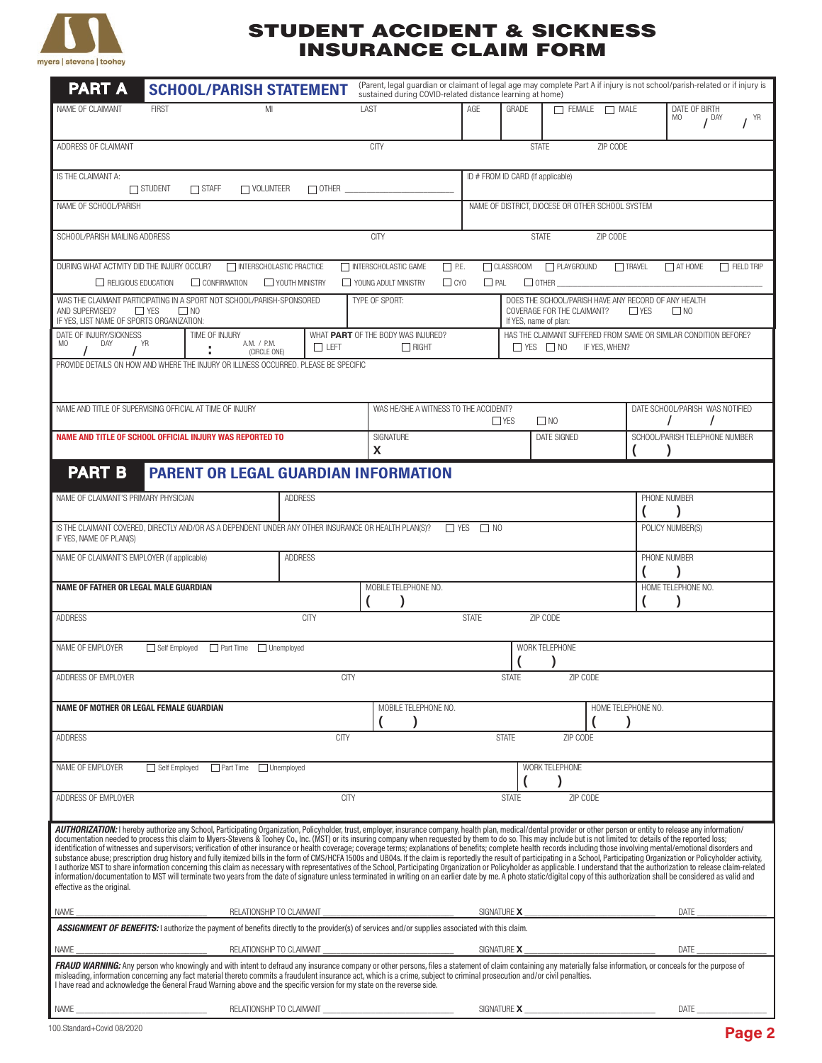

# STUDENT ACCIDENT & SICKNESS INSURANCE CLAIM FORM

| <b>PART A</b>                                                                                                                                                                                                                                                                                                                                                                                                                                                                                                                                                                                                                                                                                                                                                                                                                                                                                                                                                                                                                                                                                                                                                                                                                                                                                                                                                                                                    |                                                                                                                                                                                                                                      | <b>SCHOOL/PARISH STATEMENT</b>                           |                |                | (Parent, legal guardian or claimant of legal age may complete Part A if injury is not school/parish-related or if injury is<br>sustained during COVID-related distance learning at home) |                                                                                                   |              |                                                                                                                                    |                                 |                                         |                |  |
|------------------------------------------------------------------------------------------------------------------------------------------------------------------------------------------------------------------------------------------------------------------------------------------------------------------------------------------------------------------------------------------------------------------------------------------------------------------------------------------------------------------------------------------------------------------------------------------------------------------------------------------------------------------------------------------------------------------------------------------------------------------------------------------------------------------------------------------------------------------------------------------------------------------------------------------------------------------------------------------------------------------------------------------------------------------------------------------------------------------------------------------------------------------------------------------------------------------------------------------------------------------------------------------------------------------------------------------------------------------------------------------------------------------|--------------------------------------------------------------------------------------------------------------------------------------------------------------------------------------------------------------------------------------|----------------------------------------------------------|----------------|----------------|------------------------------------------------------------------------------------------------------------------------------------------------------------------------------------------|---------------------------------------------------------------------------------------------------|--------------|------------------------------------------------------------------------------------------------------------------------------------|---------------------------------|-----------------------------------------|----------------|--|
| NAME OF CLAIMANT                                                                                                                                                                                                                                                                                                                                                                                                                                                                                                                                                                                                                                                                                                                                                                                                                                                                                                                                                                                                                                                                                                                                                                                                                                                                                                                                                                                                 | <b>FIRST</b>                                                                                                                                                                                                                         | MI                                                       |                | LAST           |                                                                                                                                                                                          | AGE                                                                                               | GRADE        | $\Box$ FEMALE $\Box$ MALE                                                                                                          |                                 | DATE OF BIRTH<br>MO<br>I <sup>DAY</sup> | $I^{\gamma R}$ |  |
| ADDRESS OF CLAIMANT<br><b>CITY</b><br>ZIP CODE<br><b>STATE</b>                                                                                                                                                                                                                                                                                                                                                                                                                                                                                                                                                                                                                                                                                                                                                                                                                                                                                                                                                                                                                                                                                                                                                                                                                                                                                                                                                   |                                                                                                                                                                                                                                      |                                                          |                |                |                                                                                                                                                                                          |                                                                                                   |              |                                                                                                                                    |                                 |                                         |                |  |
| IS THE CLAIMANT A:<br>$\Box$ STUDENT<br>$\Box$ STAFF<br>$\Box$ VOLUNTEER<br>$\Box$ OTHER $\Box$                                                                                                                                                                                                                                                                                                                                                                                                                                                                                                                                                                                                                                                                                                                                                                                                                                                                                                                                                                                                                                                                                                                                                                                                                                                                                                                  |                                                                                                                                                                                                                                      |                                                          |                |                |                                                                                                                                                                                          | ID # FROM ID CARD (If applicable)                                                                 |              |                                                                                                                                    |                                 |                                         |                |  |
| NAME OF SCHOOL/PARISH                                                                                                                                                                                                                                                                                                                                                                                                                                                                                                                                                                                                                                                                                                                                                                                                                                                                                                                                                                                                                                                                                                                                                                                                                                                                                                                                                                                            |                                                                                                                                                                                                                                      | NAME OF DISTRICT, DIOCESE OR OTHER SCHOOL SYSTEM         |                |                |                                                                                                                                                                                          |                                                                                                   |              |                                                                                                                                    |                                 |                                         |                |  |
| SCHOOL/PARISH MAILING ADDRESS                                                                                                                                                                                                                                                                                                                                                                                                                                                                                                                                                                                                                                                                                                                                                                                                                                                                                                                                                                                                                                                                                                                                                                                                                                                                                                                                                                                    |                                                                                                                                                                                                                                      |                                                          |                |                | <b>CITY</b><br><b>STATE</b>                                                                                                                                                              |                                                                                                   |              |                                                                                                                                    | ZIP CODE                        |                                         |                |  |
| DURING WHAT ACTIVITY DID THE INJURY OCCUR?<br>INTERSCHOLASTIC PRACTICE<br>$\Box$ P.E.<br>CLASSROOM<br>PLAYGROUND<br>$\Box$ TRAVEL<br>INTERSCHOLASTIC GAME<br>$\Box$ AT HOME<br>$\Box$ FIELD TRIP<br>$\Box$ CYO<br>$\Box$ PAL<br>$\Box$ OTHER<br>RELIGIOUS EDUCATION<br>CONFIRMATION<br>YOUTH MINISTRY<br>YOUNG ADULT MINISTRY                                                                                                                                                                                                                                                                                                                                                                                                                                                                                                                                                                                                                                                                                                                                                                                                                                                                                                                                                                                                                                                                                    |                                                                                                                                                                                                                                      |                                                          |                |                |                                                                                                                                                                                          |                                                                                                   |              |                                                                                                                                    |                                 |                                         |                |  |
| WAS THE CLAIMANT PARTICIPATING IN A SPORT NOT SCHOOL/PARISH-SPONSORED<br>$\Box$ YES<br>AND SUPERVISED?<br>$\Box$ NO                                                                                                                                                                                                                                                                                                                                                                                                                                                                                                                                                                                                                                                                                                                                                                                                                                                                                                                                                                                                                                                                                                                                                                                                                                                                                              |                                                                                                                                                                                                                                      |                                                          |                |                | TYPE OF SPORT:                                                                                                                                                                           | DOES THE SCHOOL/PARISH HAVE ANY RECORD OF ANY HEALTH<br>COVERAGE FOR THE CLAIMANT?<br><b>TYES</b> | $\Box$ NO    |                                                                                                                                    |                                 |                                         |                |  |
| IF YES, LIST NAME OF SPORTS ORGANIZATION:<br>DATE OF INJURY/SICKNESS<br>M <sub>0</sub><br>DAY<br>YR                                                                                                                                                                                                                                                                                                                                                                                                                                                                                                                                                                                                                                                                                                                                                                                                                                                                                                                                                                                                                                                                                                                                                                                                                                                                                                              |                                                                                                                                                                                                                                      | TIME OF INJURY<br>A.M. / P.M.<br>$\Box$ LEFT             |                |                | WHAT PART OF THE BODY WAS INJURED?<br>$\Box$ RIGHT                                                                                                                                       |                                                                                                   |              | If YES, name of plan:<br>HAS THE CLAIMANT SUFFERED FROM SAME OR SIMILAR CONDITION BEFORE?<br>$\Box$ YES $\Box$ NO<br>IF YES, WHEN? |                                 |                                         |                |  |
|                                                                                                                                                                                                                                                                                                                                                                                                                                                                                                                                                                                                                                                                                                                                                                                                                                                                                                                                                                                                                                                                                                                                                                                                                                                                                                                                                                                                                  | (CIRCLE ONE)<br>PROVIDE DETAILS ON HOW AND WHERE THE INJURY OR ILLNESS OCCURRED. PLEASE BE SPECIFIC                                                                                                                                  |                                                          |                |                |                                                                                                                                                                                          |                                                                                                   |              |                                                                                                                                    |                                 |                                         |                |  |
|                                                                                                                                                                                                                                                                                                                                                                                                                                                                                                                                                                                                                                                                                                                                                                                                                                                                                                                                                                                                                                                                                                                                                                                                                                                                                                                                                                                                                  |                                                                                                                                                                                                                                      |                                                          |                |                |                                                                                                                                                                                          |                                                                                                   |              |                                                                                                                                    |                                 |                                         |                |  |
| NAME AND TITLE OF SUPERVISING OFFICIAL AT TIME OF INJURY                                                                                                                                                                                                                                                                                                                                                                                                                                                                                                                                                                                                                                                                                                                                                                                                                                                                                                                                                                                                                                                                                                                                                                                                                                                                                                                                                         |                                                                                                                                                                                                                                      |                                                          |                |                | WAS HE/SHE A WITNESS TO THE ACCIDENT?<br>$\Box$ NO<br>$\Box$ YES                                                                                                                         |                                                                                                   |              |                                                                                                                                    | DATE SCHOOL/PARISH WAS NOTIFIED |                                         |                |  |
|                                                                                                                                                                                                                                                                                                                                                                                                                                                                                                                                                                                                                                                                                                                                                                                                                                                                                                                                                                                                                                                                                                                                                                                                                                                                                                                                                                                                                  |                                                                                                                                                                                                                                      | NAME AND TITLE OF SCHOOL OFFICIAL INJURY WAS REPORTED TO |                |                | SIGNATURE<br>DATE SIGNED<br>X                                                                                                                                                            |                                                                                                   |              |                                                                                                                                    |                                 | SCHOOL/PARISH TELEPHONE NUMBER          |                |  |
| <b>PART B</b><br><b>PARENT OR LEGAL GUARDIAN INFORMATION</b>                                                                                                                                                                                                                                                                                                                                                                                                                                                                                                                                                                                                                                                                                                                                                                                                                                                                                                                                                                                                                                                                                                                                                                                                                                                                                                                                                     |                                                                                                                                                                                                                                      |                                                          |                |                |                                                                                                                                                                                          |                                                                                                   |              |                                                                                                                                    |                                 |                                         |                |  |
|                                                                                                                                                                                                                                                                                                                                                                                                                                                                                                                                                                                                                                                                                                                                                                                                                                                                                                                                                                                                                                                                                                                                                                                                                                                                                                                                                                                                                  | NAME OF CLAIMANT'S PRIMARY PHYSICIAN<br><b>ADDRESS</b>                                                                                                                                                                               |                                                          |                |                |                                                                                                                                                                                          |                                                                                                   | PHONE NUMBER |                                                                                                                                    |                                 |                                         |                |  |
| IS THE CLAIMANT COVERED, DIRECTLY AND/OR AS A DEPENDENT UNDER ANY OTHER INSURANCE OR HEALTH PLAN(S)?<br>IF YES, NAME OF PLAN(S)                                                                                                                                                                                                                                                                                                                                                                                                                                                                                                                                                                                                                                                                                                                                                                                                                                                                                                                                                                                                                                                                                                                                                                                                                                                                                  |                                                                                                                                                                                                                                      |                                                          |                |                |                                                                                                                                                                                          | $\Box$ YES<br>$\Box$ NO                                                                           |              |                                                                                                                                    |                                 | POLICY NUMBER(S)                        |                |  |
| NAME OF CLAIMANT'S EMPLOYER (if applicable)                                                                                                                                                                                                                                                                                                                                                                                                                                                                                                                                                                                                                                                                                                                                                                                                                                                                                                                                                                                                                                                                                                                                                                                                                                                                                                                                                                      |                                                                                                                                                                                                                                      |                                                          | <b>ADDRESS</b> |                |                                                                                                                                                                                          |                                                                                                   |              |                                                                                                                                    |                                 | PHONE NUMBER                            |                |  |
| <b>NAME OF FATHER OR LEGAL MALE GUARDIAN</b>                                                                                                                                                                                                                                                                                                                                                                                                                                                                                                                                                                                                                                                                                                                                                                                                                                                                                                                                                                                                                                                                                                                                                                                                                                                                                                                                                                     |                                                                                                                                                                                                                                      |                                                          |                |                | MOBILE TELEPHONE NO.                                                                                                                                                                     |                                                                                                   |              |                                                                                                                                    |                                 | HOME TELEPHONE NO.                      |                |  |
| <b>ADDRESS</b>                                                                                                                                                                                                                                                                                                                                                                                                                                                                                                                                                                                                                                                                                                                                                                                                                                                                                                                                                                                                                                                                                                                                                                                                                                                                                                                                                                                                   |                                                                                                                                                                                                                                      |                                                          | <b>CITY</b>    |                |                                                                                                                                                                                          | <b>STATE</b>                                                                                      |              | ZIP CODE                                                                                                                           |                                 |                                         |                |  |
| NAME OF EMPLOYER<br>Self Employed Part Time Unemployed                                                                                                                                                                                                                                                                                                                                                                                                                                                                                                                                                                                                                                                                                                                                                                                                                                                                                                                                                                                                                                                                                                                                                                                                                                                                                                                                                           |                                                                                                                                                                                                                                      |                                                          |                | WORK TELEPHONE |                                                                                                                                                                                          |                                                                                                   |              |                                                                                                                                    |                                 |                                         |                |  |
| ADDRESS OF EMPLOYER<br><b>CITY</b><br><b>STATE</b><br>ZIP CODE                                                                                                                                                                                                                                                                                                                                                                                                                                                                                                                                                                                                                                                                                                                                                                                                                                                                                                                                                                                                                                                                                                                                                                                                                                                                                                                                                   |                                                                                                                                                                                                                                      |                                                          |                |                |                                                                                                                                                                                          |                                                                                                   |              |                                                                                                                                    |                                 |                                         |                |  |
| NAME OF MOTHER OR LEGAL FEMALE GUARDIAN                                                                                                                                                                                                                                                                                                                                                                                                                                                                                                                                                                                                                                                                                                                                                                                                                                                                                                                                                                                                                                                                                                                                                                                                                                                                                                                                                                          |                                                                                                                                                                                                                                      |                                                          |                |                | MOBILE TELEPHONE NO.                                                                                                                                                                     |                                                                                                   |              |                                                                                                                                    | HOME TELEPHONE NO.              |                                         |                |  |
| <b>ADDRESS</b>                                                                                                                                                                                                                                                                                                                                                                                                                                                                                                                                                                                                                                                                                                                                                                                                                                                                                                                                                                                                                                                                                                                                                                                                                                                                                                                                                                                                   |                                                                                                                                                                                                                                      |                                                          |                | CITY           |                                                                                                                                                                                          |                                                                                                   | <b>STATE</b> | ZIP CODE                                                                                                                           |                                 |                                         |                |  |
| Self Employed Part Time I Unemployed<br>NAME OF FMPI OYER                                                                                                                                                                                                                                                                                                                                                                                                                                                                                                                                                                                                                                                                                                                                                                                                                                                                                                                                                                                                                                                                                                                                                                                                                                                                                                                                                        |                                                                                                                                                                                                                                      |                                                          |                | WORK TELEPHONE |                                                                                                                                                                                          |                                                                                                   |              |                                                                                                                                    |                                 |                                         |                |  |
| ADDRESS OF EMPLOYER<br><b>CITY</b><br><b>STATE</b><br>ZIP CODE                                                                                                                                                                                                                                                                                                                                                                                                                                                                                                                                                                                                                                                                                                                                                                                                                                                                                                                                                                                                                                                                                                                                                                                                                                                                                                                                                   |                                                                                                                                                                                                                                      |                                                          |                |                |                                                                                                                                                                                          |                                                                                                   |              |                                                                                                                                    |                                 |                                         |                |  |
| AUTHORIZATION: I hereby authorize any School, Participating Organization, Policyholder, trust, employer, insurance company, health plan, medical/dental provider or other person or entity to release any information/<br>documentation needed to process this claim to Myers-Stevens & Toohey Co., Inc. (MST) or its insuring company when requested by them to do so. This may include but is not limited to: details of the reported loss;<br>identification of witnesses and supervisors; verification of other insurance or health coverage; coverage terms; explanations of benefits; complete health records including those involving mental/emotional disorders and<br>substance abuse; prescription drug history and fully itemized bills in the form of CMS/HCFA 1500s and UB04s. If the claim is reportedly the result of participating in a School, Participating Organization or Policyholder ac<br>I authorize MST to share information concerning this claim as necessary with representatives of the School, Participating Organization or Policyholder as applicable. I understand that the authorization to release claim-rel<br>information/documentation to MST will terminate two years from the date of signature unless terminated in writing on an earlier date by me. A photo static/digital copy of this authorization shall be considered as valid and<br>effective as the original. |                                                                                                                                                                                                                                      |                                                          |                |                |                                                                                                                                                                                          |                                                                                                   |              |                                                                                                                                    |                                 |                                         |                |  |
| NAME<br>ASSIGNMENT OF BENEFITS: I authorize the payment of benefits directly to the provider(s) of services and/or supplies associated with this claim.                                                                                                                                                                                                                                                                                                                                                                                                                                                                                                                                                                                                                                                                                                                                                                                                                                                                                                                                                                                                                                                                                                                                                                                                                                                          |                                                                                                                                                                                                                                      | RELATIONSHIP TO CLAIMANT                                 |                |                |                                                                                                                                                                                          |                                                                                                   |              |                                                                                                                                    |                                 | DATE                                    |                |  |
|                                                                                                                                                                                                                                                                                                                                                                                                                                                                                                                                                                                                                                                                                                                                                                                                                                                                                                                                                                                                                                                                                                                                                                                                                                                                                                                                                                                                                  |                                                                                                                                                                                                                                      |                                                          |                |                |                                                                                                                                                                                          |                                                                                                   |              |                                                                                                                                    |                                 | DATE                                    |                |  |
| FRAUD WARNING: Any person who knowingly and with intent to defraud any insurance company or other persons, files a statement of claim containing any materially false information, or conceals for the purpose of<br>misleading, information concerning any fact material thereto commits a fraudulent insurance act, which is a crime, subject to criminal prosecution and/or civil penalties.<br>I have read and acknowledge the General Fraud Warning above and the specific version for my state on the reverse side.                                                                                                                                                                                                                                                                                                                                                                                                                                                                                                                                                                                                                                                                                                                                                                                                                                                                                        |                                                                                                                                                                                                                                      |                                                          |                |                |                                                                                                                                                                                          |                                                                                                   |              |                                                                                                                                    |                                 |                                         |                |  |
| NAME                                                                                                                                                                                                                                                                                                                                                                                                                                                                                                                                                                                                                                                                                                                                                                                                                                                                                                                                                                                                                                                                                                                                                                                                                                                                                                                                                                                                             | RELATIONSHIP TO CLAIMANT <b>AND THE SET AND THE SET AND THE SET AND THE SET AND THE SET AND THE SET AND THE SET AND THE SET AND THE SET AND THE SET AND THE SET AND THE SET AND THE SET AND THE SET AND THE SET AND THE SET AND </b> |                                                          |                |                |                                                                                                                                                                                          |                                                                                                   |              | SIGNATURE X <b>X</b>                                                                                                               |                                 | DATE                                    |                |  |